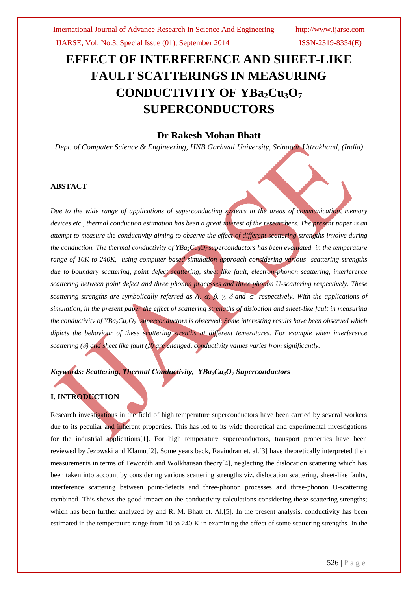IJARSE, Vol. No.3, Special Issue (01), September 2014 ISSN-2319-8354(E)

# **EFFECT OF INTERFERENCE AND SHEET-LIKE FAULT SCATTERINGS IN MEASURING CONDUCTIVITY OF YBa2Cu3O<sup>7</sup> SUPERCONDUCTORS**

# **Dr Rakesh Mohan Bhatt**

*Dept. of Computer Science & Engineering, HNB Garhwal University, Srinagar Uttrakhand, (India)*

#### **ABSTACT**

*Due to the wide range of applications of superconducting systems in the areas of communication, memory devices etc., thermal conduction estimation has been a great interest of the researchers. The present paper is an attempt to measure the conductivity aiming to observe the effect of different scattering strengths involve during the conduction. The thermal conductivity of*  $YBa_2Cu_3O_7$  *superconductors has been evaluated in the temperature range of 10K to 240K, using computer-based simulation approach considering various scattering strengths due to boundary scattering, point defect scattering, sheet like fault, electron-phonon scattering, interference scattering between point defect and three phonon processes and three phonon U-scattering respectively. These scattering strengths are symbolically referred as A,*  $\alpha$ *,*  $\beta$ *,*  $\gamma$ *,*  $\delta$  *and*  $\epsilon$  *respectively. With the applications of simulation, in the present paper the effect of scattering strengths of disloction and sheet-like fault in measuring the conductivity of YBa2Cu3O7 superconductors is observed. Some interesting results have been observed which dipicts the behaviour of these scattering strenths at different temeratures. For example when interference scattering () and sheet like fault () are changed, conductivity values varies from significantly.*

# *Keywords: Scattering, Thermal Conductivity, YBa2Cu3O<sup>7</sup> Superconductors*

## **I. INTRODUCTION**

Research investigations in the field of high temperature superconductors have been carried by several workers due to its peculiar and inherent properties. This has led to its wide theoretical and experimental investigations for the industrial applications[1]. For high temperature superconductors, transport properties have been reviewed by Jezowski and Klamut[2]. Some years back, Ravindran et. al.[3] have theoretically interpreted their measurements in terms of Tewordth and Wolkhausan theory[4], neglecting the dislocation scattering which has been taken into account by considering various scattering strengths viz. dislocation scattering, sheet-like faults, interference scattering between point-defects and three-phonon processes and three-phonon U-scattering combined. This shows the good impact on the conductivity calculations considering these scattering strengths; which has been further analyzed by and R. M. Bhatt et. Al.[5]. In the present analysis, conductivity has been estimated in the temperature range from 10 to 240 K in examining the effect of some scattering strengths. In the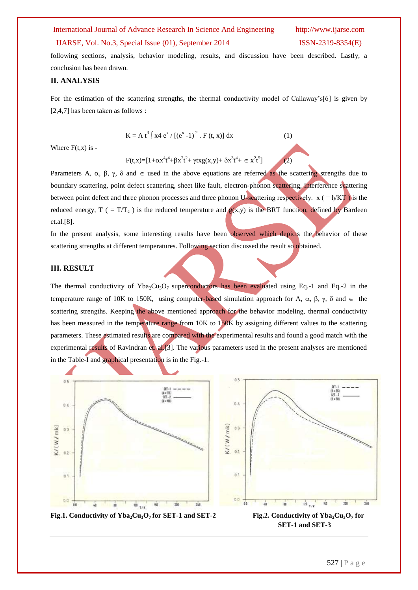#### International Journal of Advance Research In Science And Engineering http://www.ijarse.com

#### IJARSE, Vol. No.3, Special Issue (01), September 2014 ISSN-2319-8354(E)

 $(2)$ 

following sections, analysis, behavior modeling, results, and discussion have been described. Lastly, a conclusion has been drawn.

#### **II. ANALYSIS**

For the estimation of the scattering strengths, the thermal conductivity model of Callaway's[6] is given by [2,4,7] has been taken as follows :

$$
K = A t3 \int x4 ex / [(ex - 1)2 . F (t, x)] dx
$$
 (1)

Where  $F(t,x)$  is -

 $F(t,x) = [1 + \alpha x^4 t^4 + \beta x^2 t^2 + \gamma t x g(x,y) + \delta x^3 t^4 + \epsilon x^2 t^5]$ 

Parameters A,  $\alpha$ ,  $\beta$ ,  $\gamma$ ,  $\delta$  and  $\epsilon$  used in the above equations are referred as the scattering strengths due to boundary scattering, point defect scattering, sheet like fault, electron-phonon scattering, interference scattering between point defect and three phonon processes and three phonon U-scattering respectively.  $x (= \frac{\hbar}{KT})$  is the reduced energy,  $T$  ( =  $T/T_c$ ) is the reduced temperature and  $g(x,y)$  is the BRT function, defined by Bardeen et.al.[8].

In the present analysis, some interesting results have been observed which depicts the behavior of these scattering strengths at different temperatures. Following section discussed the result so obtained.

#### **III. RESULT**

The thermal conductivity of Yba<sub>2</sub>Cu<sub>3</sub>O<sub>7</sub> superconductors has been evaluated using Eq.-1 and Eq.-2 in the temperature range of 10K to 150K, using computer-based simulation approach for A,  $\alpha$ ,  $\beta$ ,  $\gamma$ ,  $\delta$  and  $\epsilon$  the scattering strengths. Keeping the above mentioned approach for the behavior modeling, thermal conductivity has been measured in the temperature range from 10K to 150K by assigning different values to the scattering parameters. These estimated results are compared with the experimental results and found a good match with the experimental results of Ravindran et. al.[3]. The various parameters used in the present analyses are mentioned in the Table-I and graphical presentation is in the Fig.-1.

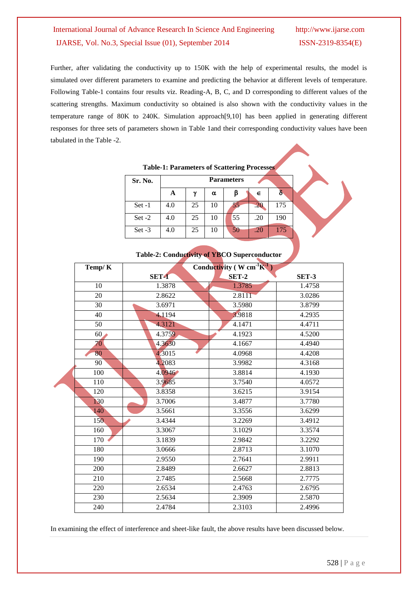# International Journal of Advance Research In Science And Engineering http://www.ijarse.com IJARSE, Vol. No.3, Special Issue (01), September 2014 ISSN-2319-8354(E)

Further, after validating the conductivity up to 150K with the help of experimental results, the model is simulated over different parameters to examine and predicting the behavior at different levels of temperature. Following Table-1 contains four results viz. Reading-A, B, C, and D corresponding to different values of the scattering strengths. Maximum conductivity so obtained is also shown with the conductivity values in the temperature range of 80K to 240K. Simulation approach[9,10] has been applied in generating different responses for three sets of parameters shown in Table 1and their corresponding conductivity values have been tabulated in the Table -2.

|          |                   |    |    | Tuble 1, I arithmeters of Deuthering 110000000 |     |     |  |
|----------|-------------------|----|----|------------------------------------------------|-----|-----|--|
| Sr. No.  | <b>Parameters</b> |    |    |                                                |     |     |  |
|          | A                 | v  | α  |                                                | ∊   |     |  |
| $Set -1$ | 4.0               | 25 | 10 | - ہ                                            |     | 175 |  |
| Set $-2$ | 4.0               | 25 | 10 | 55                                             | .20 | 190 |  |
| Set $-3$ | 4.0               | 25 | 10 | 50                                             | .20 | 175 |  |

**Table-1: Parameters of Scattering Processes**

|        | <b>Table-2: Conductivity of YBCO Superconductor</b> |                                                    |  |
|--------|-----------------------------------------------------|----------------------------------------------------|--|
| Temp/K |                                                     | Conductivity ( $W \text{ cm}^{-1} \text{K}^{-1}$ ) |  |

| Temp/ $K$          | Conductivity $(W \text{ cm}^{\text{-}}K^{\text{-}})$ |              |              |  |  |  |
|--------------------|------------------------------------------------------|--------------|--------------|--|--|--|
|                    | SET-1                                                | <b>SET-2</b> | <b>SET-3</b> |  |  |  |
| 10                 | 1.3878                                               | 1.3785       | 1.4758       |  |  |  |
| 20                 | 2.8622                                               | 2.8111       | 3.0286       |  |  |  |
| 30                 | 3.6971                                               | 3.5980       | 3.8799       |  |  |  |
| 40                 | 4.1194                                               | 3.9818       | 4.2935       |  |  |  |
| 50                 | 4.3121                                               | 4.1471       | 4.4711       |  |  |  |
| $60\blacktriangle$ | 4.3759                                               | 4.1923       | 4.5200       |  |  |  |
| 70                 | 4.3630                                               | 4.1667       | 4.4940       |  |  |  |
| 80                 | 4.3015                                               | 4.0968       | 4.4208       |  |  |  |
| 90                 | 4.2083                                               | 3.9982       | 4.3168       |  |  |  |
| 100                | 4.0946                                               | 3.8814       | 4.1930       |  |  |  |
| 110                | 3.9685                                               | 3.7540       | 4.0572       |  |  |  |
| 120                | 3.8358                                               | 3.6215       | 3.9154       |  |  |  |
| 130                | 3.7006                                               | 3.4877       | 3.7780       |  |  |  |
| 140                | 3.5661                                               | 3.3556       | 3.6299       |  |  |  |
| 150                | 3.4344                                               | 3.2269       | 3.4912       |  |  |  |
| 160                | 3.3067                                               | 3.1029       | 3.3574       |  |  |  |
| 170                | 3.1839                                               | 2.9842       | 3.2292       |  |  |  |
| 180                | 3.0666                                               | 2.8713       | 3.1070       |  |  |  |
| 190                | 2.9550                                               | 2.7641       | 2.9911       |  |  |  |
| 200                | 2.8489                                               | 2.6627       | 2.8813       |  |  |  |
| 210                | 2.7485                                               | 2.5668       | 2.7775       |  |  |  |
| 220                | 2.6534                                               | 2.4763       | 2.6795       |  |  |  |
| 230                | 2.5634                                               | 2.3909       | 2.5870       |  |  |  |
| 240                | 2.4784                                               | 2.3103       | 2.4996       |  |  |  |

In examining the effect of interference and sheet-like fault, the above results have been discussed below.